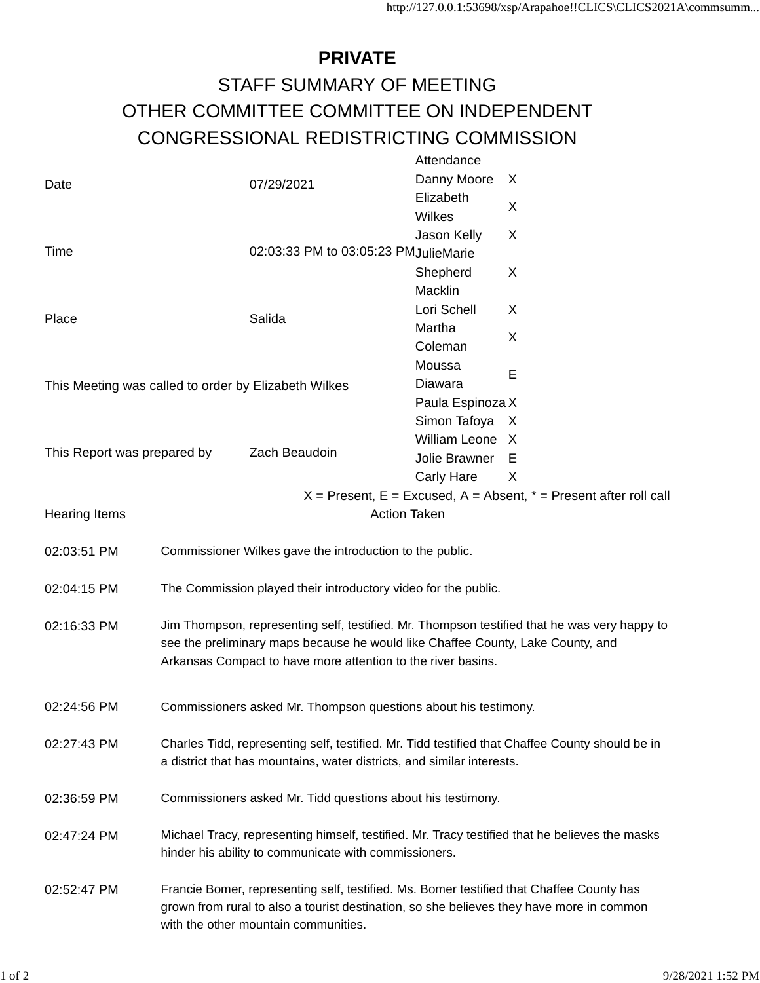## **PRIVATE** STAFF SUMMARY OF MEETING OTHER COMMITTEE COMMITTEE ON INDEPENDENT CONGRESSIONAL REDISTRICTING COMMISSION

|                                                                       |                                                                                                                                                                                                                                                 |                                      | Attendance           |   |
|-----------------------------------------------------------------------|-------------------------------------------------------------------------------------------------------------------------------------------------------------------------------------------------------------------------------------------------|--------------------------------------|----------------------|---|
| Date                                                                  |                                                                                                                                                                                                                                                 | 07/29/2021                           | Danny Moore          | X |
|                                                                       |                                                                                                                                                                                                                                                 |                                      | Elizabeth            |   |
|                                                                       |                                                                                                                                                                                                                                                 |                                      | Wilkes               | X |
|                                                                       |                                                                                                                                                                                                                                                 |                                      | Jason Kelly          | X |
| Time                                                                  |                                                                                                                                                                                                                                                 | 02:03:33 PM to 03:05:23 PMJulieMarie |                      |   |
|                                                                       |                                                                                                                                                                                                                                                 |                                      | Shepherd             | X |
|                                                                       |                                                                                                                                                                                                                                                 |                                      | Macklin              |   |
| Place                                                                 |                                                                                                                                                                                                                                                 | Salida                               | Lori Schell          | X |
|                                                                       |                                                                                                                                                                                                                                                 |                                      | Martha               |   |
|                                                                       |                                                                                                                                                                                                                                                 |                                      | Coleman              | X |
|                                                                       |                                                                                                                                                                                                                                                 |                                      | Moussa               |   |
| This Meeting was called to order by Elizabeth Wilkes                  |                                                                                                                                                                                                                                                 |                                      | Diawara              | E |
|                                                                       |                                                                                                                                                                                                                                                 |                                      | Paula Espinoza X     |   |
|                                                                       |                                                                                                                                                                                                                                                 |                                      | Simon Tafoya         | X |
| This Report was prepared by                                           |                                                                                                                                                                                                                                                 |                                      | <b>William Leone</b> | X |
|                                                                       |                                                                                                                                                                                                                                                 | Zach Beaudoin                        | Jolie Brawner        | E |
|                                                                       |                                                                                                                                                                                                                                                 |                                      | <b>Carly Hare</b>    | X |
| $X =$ Present, E = Excused, A = Absent, $* =$ Present after roll call |                                                                                                                                                                                                                                                 |                                      |                      |   |
| <b>Action Taken</b><br><b>Hearing Items</b>                           |                                                                                                                                                                                                                                                 |                                      |                      |   |
|                                                                       |                                                                                                                                                                                                                                                 |                                      |                      |   |
| 02:04:15 PM                                                           | The Commission played their introductory video for the public.                                                                                                                                                                                  |                                      |                      |   |
| 02:16:33 PM                                                           | Jim Thompson, representing self, testified. Mr. Thompson testified that he was very happy to<br>see the preliminary maps because he would like Chaffee County, Lake County, and<br>Arkansas Compact to have more attention to the river basins. |                                      |                      |   |
|                                                                       |                                                                                                                                                                                                                                                 |                                      |                      |   |
|                                                                       |                                                                                                                                                                                                                                                 |                                      |                      |   |
|                                                                       |                                                                                                                                                                                                                                                 |                                      |                      |   |
|                                                                       |                                                                                                                                                                                                                                                 |                                      |                      |   |
| 02:24:56 PM                                                           | Commissioners asked Mr. Thompson questions about his testimony.                                                                                                                                                                                 |                                      |                      |   |
|                                                                       | Charles Tidd, representing self, testified. Mr. Tidd testified that Chaffee County should be in<br>a district that has mountains, water districts, and similar interests.                                                                       |                                      |                      |   |
| 02:27:43 PM                                                           |                                                                                                                                                                                                                                                 |                                      |                      |   |
|                                                                       |                                                                                                                                                                                                                                                 |                                      |                      |   |
|                                                                       |                                                                                                                                                                                                                                                 |                                      |                      |   |
| 02:36:59 PM                                                           | Commissioners asked Mr. Tidd questions about his testimony.                                                                                                                                                                                     |                                      |                      |   |
|                                                                       | Michael Tracy, representing himself, testified. Mr. Tracy testified that he believes the masks<br>hinder his ability to communicate with commissioners.                                                                                         |                                      |                      |   |
| 02:47:24 PM                                                           |                                                                                                                                                                                                                                                 |                                      |                      |   |
|                                                                       |                                                                                                                                                                                                                                                 |                                      |                      |   |
| 02:52:47 PM                                                           | Francie Bomer, representing self, testified. Ms. Bomer testified that Chaffee County has<br>grown from rural to also a tourist destination, so she believes they have more in common                                                            |                                      |                      |   |
|                                                                       |                                                                                                                                                                                                                                                 |                                      |                      |   |
|                                                                       | with the other mountain communities.                                                                                                                                                                                                            |                                      |                      |   |
|                                                                       |                                                                                                                                                                                                                                                 |                                      |                      |   |